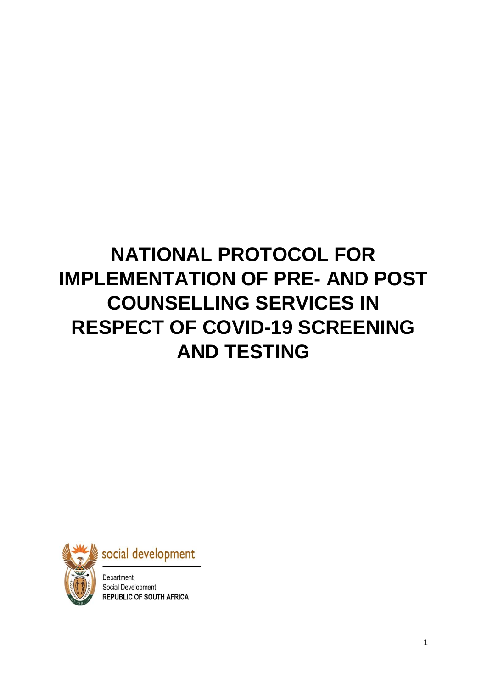# **NATIONAL PROTOCOL FOR IMPLEMENTATION OF PRE- AND POST COUNSELLING SERVICES IN RESPECT OF COVID-19 SCREENING AND TESTING**





Department: Social Development **REPUBLIC OF SOUTH AFRICA**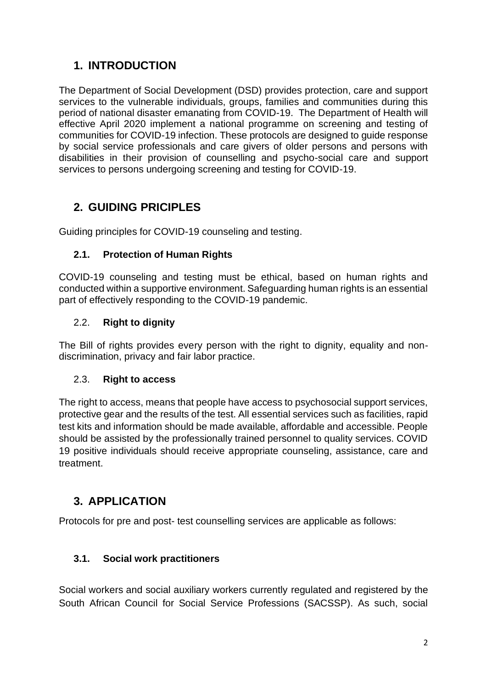# **1. INTRODUCTION**

The Department of Social Development (DSD) provides protection, care and support services to the vulnerable individuals, groups, families and communities during this period of national disaster emanating from COVID-19. The Department of Health will effective April 2020 implement a national programme on screening and testing of communities for COVID-19 infection. These protocols are designed to guide response by social service professionals and care givers of older persons and persons with disabilities in their provision of counselling and psycho-social care and support services to persons undergoing screening and testing for COVID-19.

# **2. GUIDING PRICIPLES**

Guiding principles for COVID-19 counseling and testing.

## **2.1. Protection of Human Rights**

COVID-19 counseling and testing must be ethical, based on human rights and conducted within a supportive environment. Safeguarding human rights is an essential part of effectively responding to the COVID-19 pandemic.

#### 2.2. **Right to dignity**

The Bill of rights provides every person with the right to dignity, equality and nondiscrimination, privacy and fair labor practice.

#### 2.3. **Right to access**

The right to access, means that people have access to psychosocial support services, protective gear and the results of the test. All essential services such as facilities, rapid test kits and information should be made available, affordable and accessible. People should be assisted by the professionally trained personnel to quality services. COVID 19 positive individuals should receive appropriate counseling, assistance, care and treatment.

# **3. APPLICATION**

Protocols for pre and post- test counselling services are applicable as follows:

## **3.1. Social work practitioners**

Social workers and social auxiliary workers currently regulated and registered by the South African Council for Social Service Professions (SACSSP). As such, social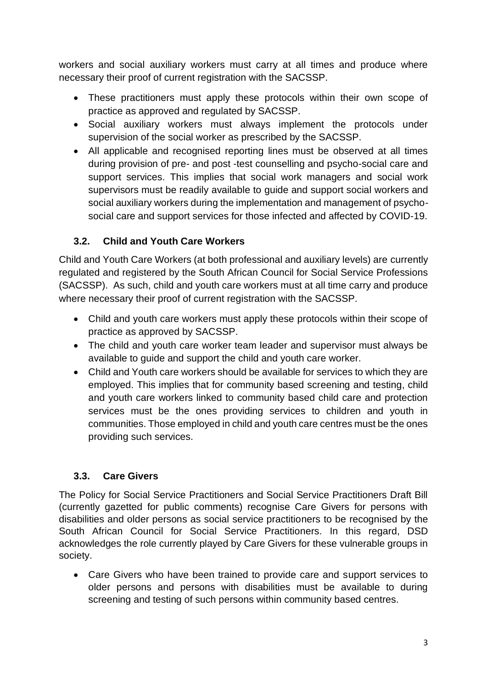workers and social auxiliary workers must carry at all times and produce where necessary their proof of current registration with the SACSSP.

- These practitioners must apply these protocols within their own scope of practice as approved and regulated by SACSSP.
- Social auxiliary workers must always implement the protocols under supervision of the social worker as prescribed by the SACSSP.
- All applicable and recognised reporting lines must be observed at all times during provision of pre- and post -test counselling and psycho-social care and support services. This implies that social work managers and social work supervisors must be readily available to guide and support social workers and social auxiliary workers during the implementation and management of psychosocial care and support services for those infected and affected by COVID-19.

## **3.2. Child and Youth Care Workers**

Child and Youth Care Workers (at both professional and auxiliary levels) are currently regulated and registered by the South African Council for Social Service Professions (SACSSP). As such, child and youth care workers must at all time carry and produce where necessary their proof of current registration with the SACSSP.

- Child and youth care workers must apply these protocols within their scope of practice as approved by SACSSP.
- The child and youth care worker team leader and supervisor must always be available to guide and support the child and youth care worker.
- Child and Youth care workers should be available for services to which they are employed. This implies that for community based screening and testing, child and youth care workers linked to community based child care and protection services must be the ones providing services to children and youth in communities. Those employed in child and youth care centres must be the ones providing such services.

# **3.3. Care Givers**

The Policy for Social Service Practitioners and Social Service Practitioners Draft Bill (currently gazetted for public comments) recognise Care Givers for persons with disabilities and older persons as social service practitioners to be recognised by the South African Council for Social Service Practitioners. In this regard, DSD acknowledges the role currently played by Care Givers for these vulnerable groups in society.

• Care Givers who have been trained to provide care and support services to older persons and persons with disabilities must be available to during screening and testing of such persons within community based centres.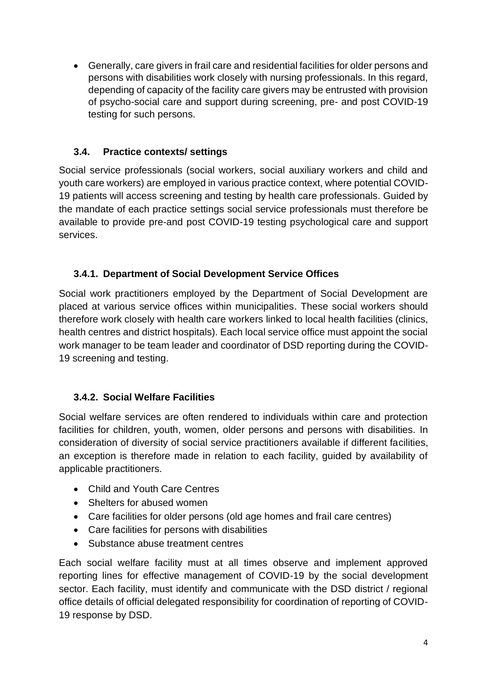• Generally, care givers in frail care and residential facilities for older persons and persons with disabilities work closely with nursing professionals. In this regard, depending of capacity of the facility care givers may be entrusted with provision of psycho-social care and support during screening, pre- and post COVID-19 testing for such persons.

## **3.4. Practice contexts/ settings**

Social service professionals (social workers, social auxiliary workers and child and youth care workers) are employed in various practice context, where potential COVID-19 patients will access screening and testing by health care professionals. Guided by the mandate of each practice settings social service professionals must therefore be available to provide pre-and post COVID-19 testing psychological care and support services.

## **3.4.1. Department of Social Development Service Offices**

Social work practitioners employed by the Department of Social Development are placed at various service offices within municipalities. These social workers should therefore work closely with health care workers linked to local health facilities (clinics, health centres and district hospitals). Each local service office must appoint the social work manager to be team leader and coordinator of DSD reporting during the COVID-19 screening and testing.

# **3.4.2. Social Welfare Facilities**

Social welfare services are often rendered to individuals within care and protection facilities for children, youth, women, older persons and persons with disabilities. In consideration of diversity of social service practitioners available if different facilities, an exception is therefore made in relation to each facility, guided by availability of applicable practitioners.

- Child and Youth Care Centres
- Shelters for abused women
- Care facilities for older persons (old age homes and frail care centres)
- Care facilities for persons with disabilities
- Substance abuse treatment centres

Each social welfare facility must at all times observe and implement approved reporting lines for effective management of COVID-19 by the social development sector. Each facility, must identify and communicate with the DSD district / regional office details of official delegated responsibility for coordination of reporting of COVID-19 response by DSD.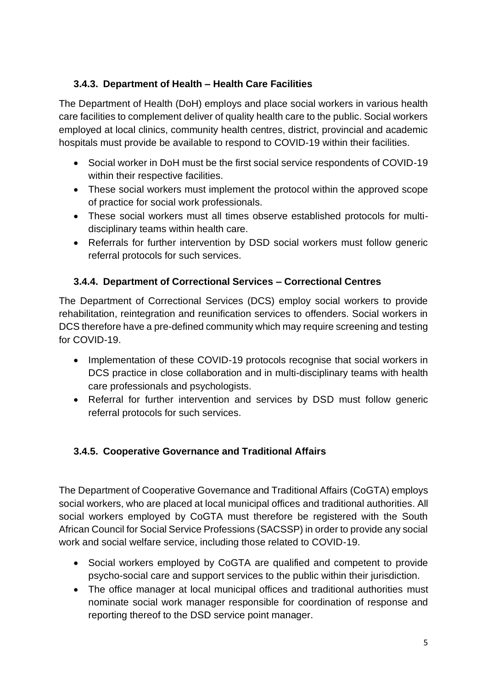## **3.4.3. Department of Health – Health Care Facilities**

The Department of Health (DoH) employs and place social workers in various health care facilities to complement deliver of quality health care to the public. Social workers employed at local clinics, community health centres, district, provincial and academic hospitals must provide be available to respond to COVID-19 within their facilities.

- Social worker in DoH must be the first social service respondents of COVID-19 within their respective facilities.
- These social workers must implement the protocol within the approved scope of practice for social work professionals.
- These social workers must all times observe established protocols for multidisciplinary teams within health care.
- Referrals for further intervention by DSD social workers must follow generic referral protocols for such services.

# **3.4.4. Department of Correctional Services – Correctional Centres**

The Department of Correctional Services (DCS) employ social workers to provide rehabilitation, reintegration and reunification services to offenders. Social workers in DCS therefore have a pre-defined community which may require screening and testing for COVID-19.

- Implementation of these COVID-19 protocols recognise that social workers in DCS practice in close collaboration and in multi-disciplinary teams with health care professionals and psychologists.
- Referral for further intervention and services by DSD must follow generic referral protocols for such services.

# **3.4.5. Cooperative Governance and Traditional Affairs**

The Department of Cooperative Governance and Traditional Affairs (CoGTA) employs social workers, who are placed at local municipal offices and traditional authorities. All social workers employed by CoGTA must therefore be registered with the South African Council for Social Service Professions (SACSSP) in order to provide any social work and social welfare service, including those related to COVID-19.

- Social workers employed by CoGTA are qualified and competent to provide psycho-social care and support services to the public within their jurisdiction.
- The office manager at local municipal offices and traditional authorities must nominate social work manager responsible for coordination of response and reporting thereof to the DSD service point manager.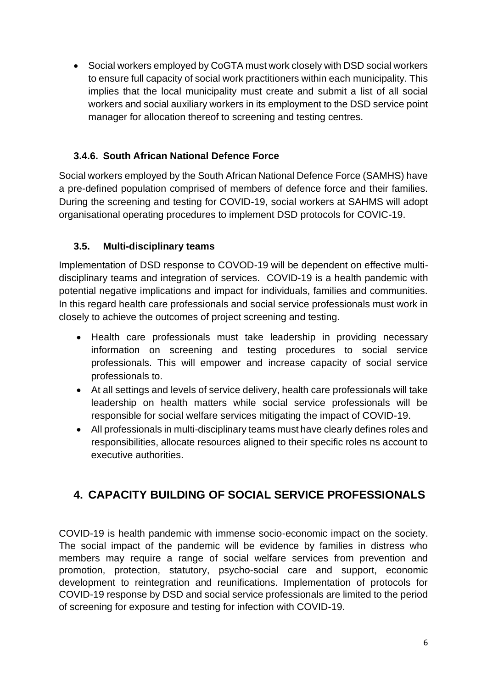• Social workers employed by CoGTA must work closely with DSD social workers to ensure full capacity of social work practitioners within each municipality. This implies that the local municipality must create and submit a list of all social workers and social auxiliary workers in its employment to the DSD service point manager for allocation thereof to screening and testing centres.

## **3.4.6. South African National Defence Force**

Social workers employed by the South African National Defence Force (SAMHS) have a pre-defined population comprised of members of defence force and their families. During the screening and testing for COVID-19, social workers at SAHMS will adopt organisational operating procedures to implement DSD protocols for COVIC-19.

#### **3.5. Multi-disciplinary teams**

Implementation of DSD response to COVOD-19 will be dependent on effective multidisciplinary teams and integration of services. COVID-19 is a health pandemic with potential negative implications and impact for individuals, families and communities. In this regard health care professionals and social service professionals must work in closely to achieve the outcomes of project screening and testing.

- Health care professionals must take leadership in providing necessary information on screening and testing procedures to social service professionals. This will empower and increase capacity of social service professionals to.
- At all settings and levels of service delivery, health care professionals will take leadership on health matters while social service professionals will be responsible for social welfare services mitigating the impact of COVID-19.
- All professionals in multi-disciplinary teams must have clearly defines roles and responsibilities, allocate resources aligned to their specific roles ns account to executive authorities.

# **4. CAPACITY BUILDING OF SOCIAL SERVICE PROFESSIONALS**

COVID-19 is health pandemic with immense socio-economic impact on the society. The social impact of the pandemic will be evidence by families in distress who members may require a range of social welfare services from prevention and promotion, protection, statutory, psycho-social care and support, economic development to reintegration and reunifications. Implementation of protocols for COVID-19 response by DSD and social service professionals are limited to the period of screening for exposure and testing for infection with COVID-19.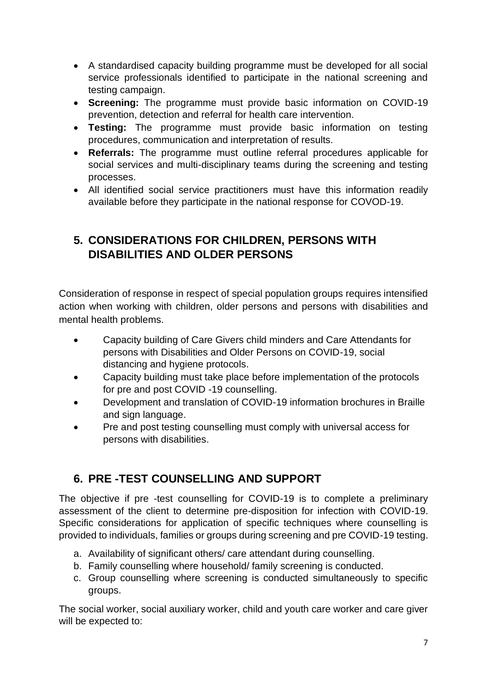- A standardised capacity building programme must be developed for all social service professionals identified to participate in the national screening and testing campaign.
- **Screening:** The programme must provide basic information on COVID-19 prevention, detection and referral for health care intervention.
- **Testing:** The programme must provide basic information on testing procedures, communication and interpretation of results.
- **Referrals:** The programme must outline referral procedures applicable for social services and multi-disciplinary teams during the screening and testing processes.
- All identified social service practitioners must have this information readily available before they participate in the national response for COVOD-19.

# **5. CONSIDERATIONS FOR CHILDREN, PERSONS WITH DISABILITIES AND OLDER PERSONS**

Consideration of response in respect of special population groups requires intensified action when working with children, older persons and persons with disabilities and mental health problems.

- Capacity building of Care Givers child minders and Care Attendants for persons with Disabilities and Older Persons on COVID-19, social distancing and hygiene protocols.
- Capacity building must take place before implementation of the protocols for pre and post COVID -19 counselling.
- Development and translation of COVID-19 information brochures in Braille and sign language.
- Pre and post testing counselling must comply with universal access for persons with disabilities.

# **6. PRE -TEST COUNSELLING AND SUPPORT**

The objective if pre -test counselling for COVID-19 is to complete a preliminary assessment of the client to determine pre-disposition for infection with COVID-19. Specific considerations for application of specific techniques where counselling is provided to individuals, families or groups during screening and pre COVID-19 testing.

- a. Availability of significant others/ care attendant during counselling.
- b. Family counselling where household/ family screening is conducted.
- c. Group counselling where screening is conducted simultaneously to specific groups.

The social worker, social auxiliary worker, child and youth care worker and care giver will be expected to: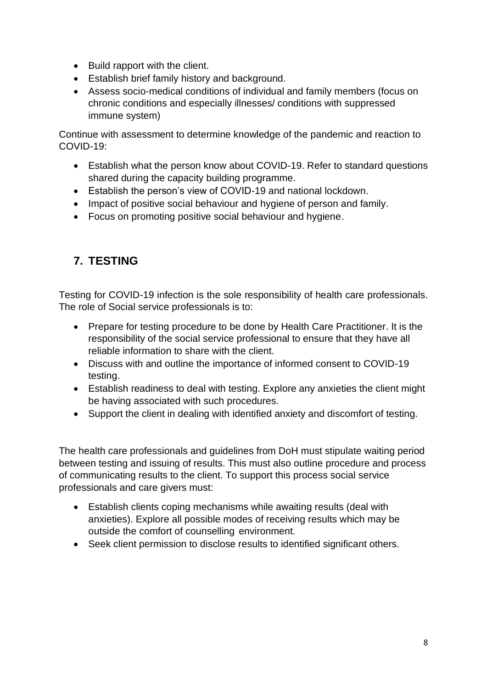- Build rapport with the client.
- Establish brief family history and background.
- Assess socio-medical conditions of individual and family members (focus on chronic conditions and especially illnesses/ conditions with suppressed immune system)

Continue with assessment to determine knowledge of the pandemic and reaction to COVID-19:

- Establish what the person know about COVID-19. Refer to standard questions shared during the capacity building programme.
- Establish the person's view of COVID-19 and national lockdown.
- Impact of positive social behaviour and hygiene of person and family.
- Focus on promoting positive social behaviour and hygiene.

# **7. TESTING**

Testing for COVID-19 infection is the sole responsibility of health care professionals. The role of Social service professionals is to:

- Prepare for testing procedure to be done by Health Care Practitioner. It is the responsibility of the social service professional to ensure that they have all reliable information to share with the client.
- Discuss with and outline the importance of informed consent to COVID-19 testing.
- Establish readiness to deal with testing. Explore any anxieties the client might be having associated with such procedures.
- Support the client in dealing with identified anxiety and discomfort of testing.

The health care professionals and guidelines from DoH must stipulate waiting period between testing and issuing of results. This must also outline procedure and process of communicating results to the client. To support this process social service professionals and care givers must:

- Establish clients coping mechanisms while awaiting results (deal with anxieties). Explore all possible modes of receiving results which may be outside the comfort of counselling environment.
- Seek client permission to disclose results to identified significant others.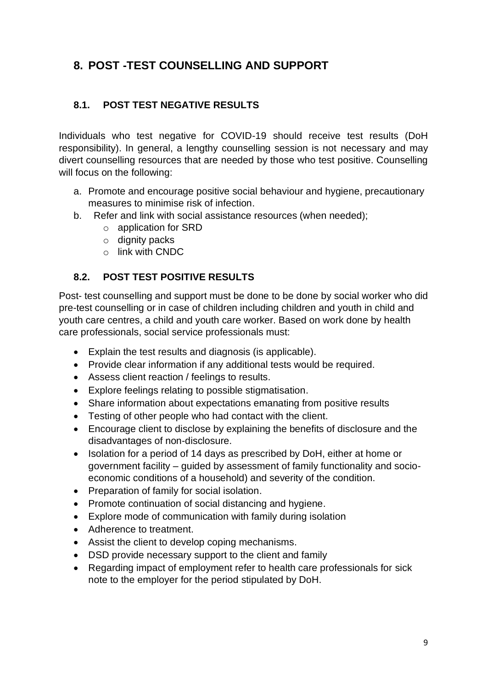# **8. POST -TEST COUNSELLING AND SUPPORT**

#### **8.1. POST TEST NEGATIVE RESULTS**

Individuals who test negative for COVID-19 should receive test results (DoH responsibility). In general, a lengthy counselling session is not necessary and may divert counselling resources that are needed by those who test positive. Counselling will focus on the following:

- a. Promote and encourage positive social behaviour and hygiene, precautionary measures to minimise risk of infection.
- b. Refer and link with social assistance resources (when needed);
	- o application for SRD
	- $\circ$  dignity packs
	- o link with CNDC

#### **8.2. POST TEST POSITIVE RESULTS**

Post- test counselling and support must be done to be done by social worker who did pre-test counselling or in case of children including children and youth in child and youth care centres, a child and youth care worker. Based on work done by health care professionals, social service professionals must:

- Explain the test results and diagnosis (is applicable).
- Provide clear information if any additional tests would be required.
- Assess client reaction / feelings to results.
- Explore feelings relating to possible stigmatisation.
- Share information about expectations emanating from positive results
- Testing of other people who had contact with the client.
- Encourage client to disclose by explaining the benefits of disclosure and the disadvantages of non-disclosure.
- Isolation for a period of 14 days as prescribed by DoH, either at home or government facility – guided by assessment of family functionality and socioeconomic conditions of a household) and severity of the condition.
- Preparation of family for social isolation.
- Promote continuation of social distancing and hygiene.
- Explore mode of communication with family during isolation
- Adherence to treatment.
- Assist the client to develop coping mechanisms.
- DSD provide necessary support to the client and family
- Regarding impact of employment refer to health care professionals for sick note to the employer for the period stipulated by DoH.